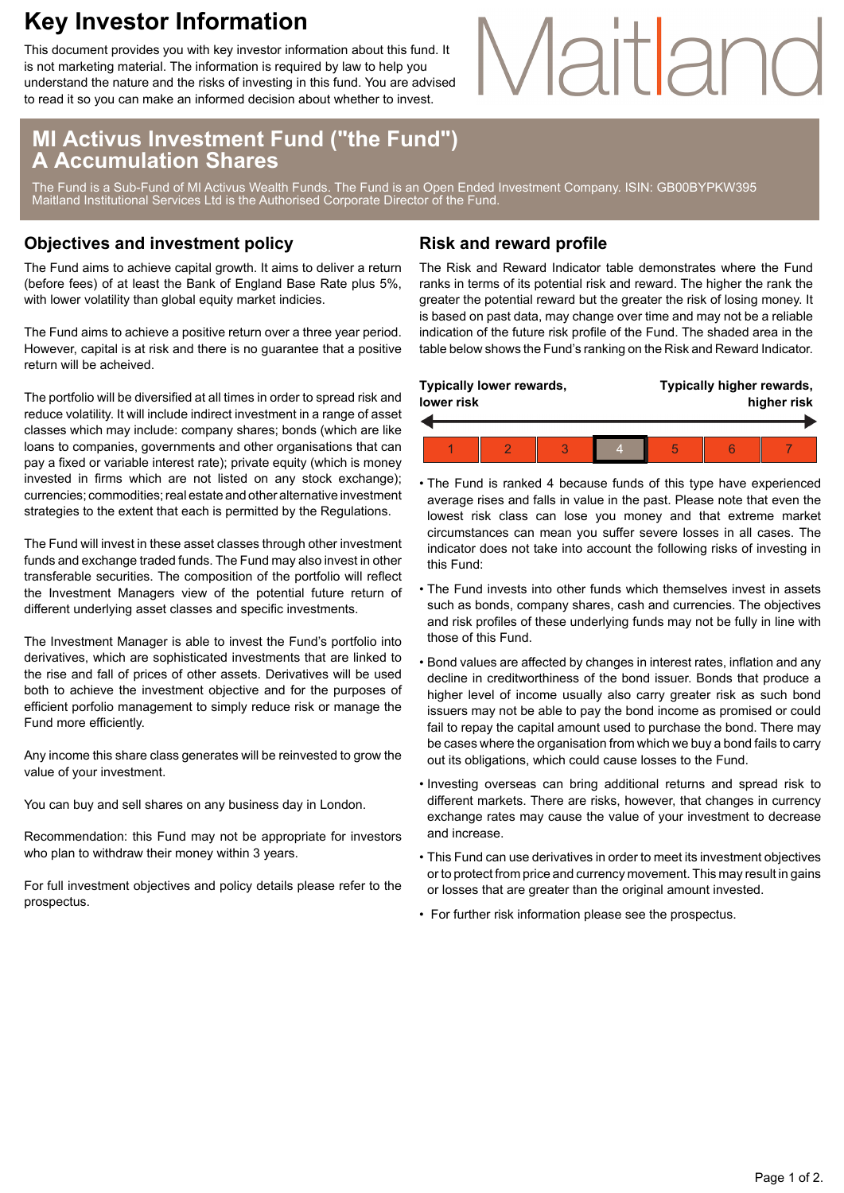## **Key Investor Information**

This document provides you with key investor information about this fund. It is not marketing material. The information is required by law to help you understand the nature and the risks of investing in this fund. You are advised to read it so you can make an informed decision about whether to invest.

### **MI Activus Investment Fund ("the Fund") A Accumulation Shares**

The Fund is a Sub-Fund of MI Activus Wealth Funds. The Fund is an Open Ended Investment Company. ISIN: GB00BYPKW395 Maitland Institutional Services Ltd is the Authorised Corporate Director of the Fund.

### **Objectives and investment policy**

The Fund aims to achieve capital growth. It aims to deliver a return (before fees) of at least the Bank of England Base Rate plus 5%, with lower volatility than global equity market indicies.

The Fund aims to achieve a positive return over a three year period. However, capital is at risk and there is no guarantee that a positive return will be acheived.

The portfolio will be diversified at all times in order to spread risk and reduce volatility. It will include indirect investment in a range of asset classes which may include: company shares; bonds (which are like loans to companies, governments and other organisations that can pay a fixed or variable interest rate); private equity (which is money invested in firms which are not listed on any stock exchange); currencies; commodities; real estate and other alternative investment strategies to the extent that each is permitted by the Regulations.

The Fund will invest in these asset classes through other investment funds and exchange traded funds. The Fund may also invest in other transferable securities. The composition of the portfolio will reflect the Investment Managers view of the potential future return of different underlying asset classes and specific investments.

The Investment Manager is able to invest the Fund's portfolio into derivatives, which are sophisticated investments that are linked to the rise and fall of prices of other assets. Derivatives will be used both to achieve the investment objective and for the purposes of efficient porfolio management to simply reduce risk or manage the Fund more efficiently.

Any income this share class generates will be reinvested to grow the value of your investment.

You can buy and sell shares on any business day in London.

Recommendation: this Fund may not be appropriate for investors who plan to withdraw their money within 3 years.

For full investment objectives and policy details please refer to the prospectus.

### **Risk and reward profile**

The Risk and Reward Indicator table demonstrates where the Fund ranks in terms of its potential risk and reward. The higher the rank the greater the potential reward but the greater the risk of losing money. It is based on past data, may change over time and may not be a reliable indication of the future risk profile of the Fund. The shaded area in the table below shows the Fund's ranking on the Risk and Reward Indicator.

Maitland

| Typically lower rewards,<br>lower risk |  |  |  | Typically higher rewards,<br>higher risk |  |  |
|----------------------------------------|--|--|--|------------------------------------------|--|--|
|                                        |  |  |  |                                          |  |  |
|                                        |  |  |  | 5                                        |  |  |

- The Fund is ranked 4 because funds of this type have experienced average rises and falls in value in the past. Please note that even the lowest risk class can lose you money and that extreme market circumstances can mean you suffer severe losses in all cases. The indicator does not take into account the following risks of investing in this Fund:
- The Fund invests into other funds which themselves invest in assets such as bonds, company shares, cash and currencies. The objectives and risk profiles of these underlying funds may not be fully in line with those of this Fund.
- Bond values are affected by changes in interest rates, inflation and any decline in creditworthiness of the bond issuer. Bonds that produce a higher level of income usually also carry greater risk as such bond issuers may not be able to pay the bond income as promised or could fail to repay the capital amount used to purchase the bond. There may be cases where the organisation from which we buy a bond fails to carry out its obligations, which could cause losses to the Fund.
- Investing overseas can bring additional returns and spread risk to different markets. There are risks, however, that changes in currency exchange rates may cause the value of your investment to decrease and increase.
- This Fund can use derivatives in order to meet its investment objectives or to protect from price and currency movement. This may result in gains or losses that are greater than the original amount invested.
- For further risk information please see the prospectus.